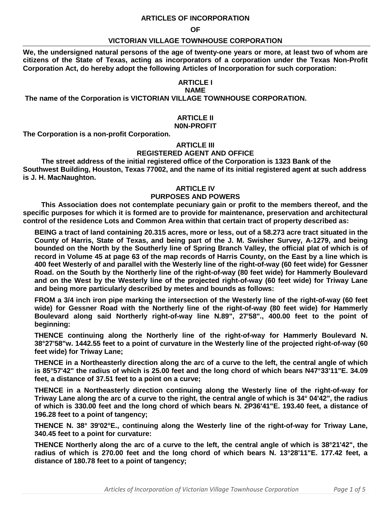## **ARTICLES OF INCORPORATION**

#### **OF**

### **VICTORIAN VILLAGE TOWNHOUSE CORPORATION**

**We, the undersigned natural persons of the age of twenty-one years or more, at least two of whom are citizens of the State of Texas, acting as incorporators of a corporation under the Texas Non-Profit Corporation Act, do hereby adopt the following Articles of Incorporation for such corporation:**

## **ARTICLE I**

#### **NAME**

**The name of the Corporation is VICTORIAN VILLAGE TOWNHOUSE CORPORATION.**

# **ARTICLE II**

**N0N-PROFIT**

**The Corporation is a non-profit Corporation.**

# **ARTICLE III**

### **REGISTERED AGENT AND OFFICE**

**The street address of the initial registered office of the Corporation is 1323 Bank of the Southwest Building, Houston, Texas 77002, and the name of its initial registered agent at such address is J. H. MacNaughton.**

### **ARTICLE IV**

# **PURPOSES AND POWERS**

**This Association does not contemplate pecuniary gain or profit to the members thereof, and the specific purposes for which it is formed are to provide for maintenance, preservation and architectural control of the residence Lots and Common Area within that certain tract of property described as:**

**BEING a tract of land containing 20.315 acres, more or less, out of a 58.273 acre tract situated in the County of Harris, State of Texas, and being part of the J. M. Swisher Survey, A-1279, and being bounded on the North by the Southerly line of Spring Branch Valley, the official plat of which is of record in Volume 45 at page 63 of the map records of Harris County, on the East by a line which is 400 feet Westerly of and parallel with the Westerly line of the right-of-way (60 feet wide) for Gessner Road. on the South by the Northerly line of the right-of-way (80 feet wide) for Hammerly Boulevard and on the West by the Westerly line of the projected right-of-way (60 feet wide) for Triway Lane and being more particularly described by metes and bounds as follows:**

**FROM a 3/4 inch iron pipe marking the intersection of the Westerly line of the right-of-way (60 feet wide) for Gessner Road with the Northerly line of the right-of-way (80 feet wide) for Hammerly Boulevard along said Northerly right-of-way line N.89", 27'58"., 400.00 feet to the point of beginning:**

**THENCE continuing along the Northerly line of the right-of-way for Hammerly Boulevard N. 38°27'58"w. 1442.55 feet to a point of curvature in the Westerly line of the projected right-of-way (60 feet wide) for Triway Lane;**

**THENCE in a Northeasterly direction along the arc of a curve to the left, the central angle of which is 85°57'42" the radius of which is 25.00 feet and the long chord of which bears N47°33'11"E. 34.09 feet, a distance of 37.51 feet to a point on a curve;**

**THENCE in a Northeasterly direction continuing along the Westerly line of the right-of-way for Triway Lane along the arc of a curve to the right, the central angle of which is 34° 04'42", the radius of which is 330.00 feet and the long chord of which bears N. 2P36'41"E. 193.40 feet, a distance of 196.28 feet to a point of tangency;**

**THENCE N. 38° 39'02°E., continuing along the Westerly line of the right-of-way for Triway Lane, 340.45 feet to a point for curvature:**

**THENCE Northerly along the arc of a curve to the left, the central angle of which is 38°21'42", the radius of which is 270.00 feet and the long chord of which bears N. 13°28'11"E. 177.42 feet, a distance of 180.78 feet to a point of tangency;**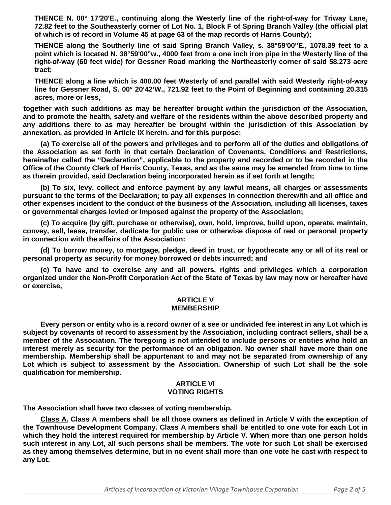**THENCE N. 00° 17'20'E., continuing along the Westerly line of the right-of-way for Triway Lane, 72.82 feet to the Southeasterly corner of Lot No. 1, Block F of Spring Branch Valley (the official plat of which is of record in Volume 45 at page 63 of the map records of Harris County);**

**THENCE along the Southerly line of said Spring Branch Valley, s. 38°59'00"E., 1078.39 feet to a point which is located N. 38°59'00"w., 4000 feet from a one inch iron pipe in the Westerly line of the right-of-way (60 feet wide) for Gessner Road marking the Northeasterly corner of said 58.273 acre tract;**

**THENCE along a line which is 400.00 feet Westerly of and parallel with said Westerly right-of-way line for Gessner Road, S. 00° 20'42'W., 721.92 feet to the Point of Beginning and containing 20.315 acres, more or less,**

**together with such additions as may be hereafter brought within the jurisdiction of the Association, and to promote the health, safety and welfare of the residents within the above described property and any additions there to as may hereafter be brought within the jurisdiction of this Association by annexation, as provided in Article IX herein. and for this purpose:**

**(a) To exercise all of the powers and privileges and to perform all of the duties and obligations of the Association as set forth in that certain Declaration of Covenants, Conditions and Restrictions, hereinafter called the "Declaration", applicable to the property and recorded or to be recorded in the Office of the County Clerk of Harris County, Texas, and as the same may be amended from time to time as therein provided, said Declaration being incorporated herein as if set forth at length;**

**(b) To six, levy, collect and enforce payment by any lawful means, all charges or assessments pursuant to the terms of the Declaration; to pay all expenses in connection therewith and all office and other expenses incident to the conduct of the business of the Association, including all licenses, taxes or governmental charges levied or imposed against the property of the Association;**

**(c) To acquire (by gift, purchase or otherwise), own, hold, improve, build upon, operate, maintain, convey, sell, lease, transfer, dedicate for public use or otherwise dispose of real or personal property in connection with the affairs of the Association:**

**(d) To borrow money, to mortgage, pledge, deed in trust, or hypothecate any or all of its real or personal property as security for money borrowed or debts incurred; and**

**(e) To have and to exercise any and all powers, rights and privileges which a corporation organized under the Non-Profit Corporation Act of the State of Texas by law may now or hereafter have or exercise,**

#### **ARTICLE V MEMBERSHIP**

**Every person or entity who is a record owner of a see or undivided fee interest in any Lot which is subject by covenants of record to assessment by the Association, including contract sellers, shall be a member of the Association. The foregoing is not intended to include persons or entities who hold an interest merely as security for the performance of an obligation. No owner shall have more than one membership. Membership shall be appurtenant to and may not be separated from ownership of any Lot which is subject to assessment by the Association. Ownership of such Lot shall be the sole qualification for membership.**

# **ARTICLE VI VOTING RIGHTS**

**The Association shall have two classes of voting membership.**

**Class A. Class A members shall be all those owners as defined in Article V with the exception of the Townhouse Development Company. Class A members shall be entitled to one vote for each Lot in which they hold the interest required for membership by Article V. When more than one person holds such interest in any Lot, all such persons shall be members. The vote for such Lot shall be exercised as they among themselves determine, but in no event shall more than one vote he cast with respect to any Lot.**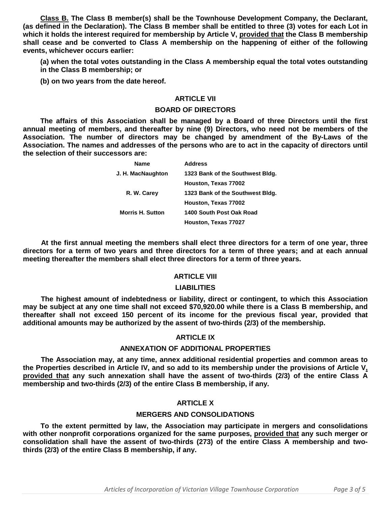**Class B. The Class B member(s) shall be the Townhouse Development Company, the Declarant, (as defined in the Declaration). The Class B member shall be entitled to three (3) votes for each Lot in which it holds the interest required for membership by Article V, provided that the Class B membership shall cease and be converted to Class A membership on the happening of either of the following events, whichever occurs earlier:**

**(a) when the total votes outstanding in the Class A membership equal the total votes outstanding in the Class B membership; or**

**(b) on two years from the date hereof.**

## **ARTICLE VII**

### **BOARD OF DIRECTORS**

**The affairs of this Association shall be managed by a Board of three Directors until the first annual meeting of members, and thereafter by nine (9) Directors, who need not be members of the Association. The number of directors may be changed by amendment of the By-Laws of the Association. The names and addresses of the persons who are to act in the capacity of directors until the selection of their successors are:**

| <b>Name</b>             | <b>Address</b>                   |
|-------------------------|----------------------------------|
| J. H. MacNaughton       | 1323 Bank of the Southwest Bldg. |
|                         | Houston, Texas 77002             |
| R. W. Carey             | 1323 Bank of the Southwest Bldg. |
|                         | Houston, Texas 77002             |
| <b>Morris H. Sutton</b> | 1400 South Post Oak Road         |
|                         | Houston, Texas 77027             |

**At the first annual meeting the members shall elect three directors for a term of one year, three directors for a term of two years and three directors for a term of three years; and at each annual meeting thereafter the members shall elect three directors for a term of three years.**

# **ARTICLE VIII**

# **LIABILITIES**

**The highest amount of indebtedness or liability, direct or contingent, to which this Association may be subject at any one time shall not exceed \$70,920.00 while there is a Class B membership, and thereafter shall not exceed 150 percent of its income for the previous fiscal year, provided that additional amounts may be authorized by the assent of two-thirds (2/3) of the membership.**

# **ARTICLE IX**

# **ANNEXATION OF ADDITIONAL PROPERTIES**

**The Association may, at any time, annex additional residential properties and common areas to the Properties described in Article IV, and so add to its membership under the provisions of Article V, provided that any such annexation shall have the assent of two-thirds (2/3) of the entire Class A membership and two-thirds (2/3) of the entire Class B membership, if any.**

# **ARTICLE X**

# **MERGERS AND CONSOLIDATIONS**

**To the extent permitted by law, the Association may participate in mergers and consolidations with other nonprofit corporations organized for the same purposes, provided that any such merger or consolidation shall have the assent of two-thirds (273) of the entire Class A membership and twothirds (2/3) of the entire Class B membership, if any.**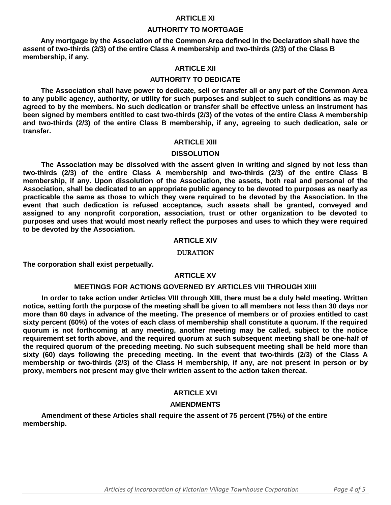# **ARTICLE XI**

### **AUTHORITY TO MORTGAGE**

**Any mortgage by the Association of the Common Area defined in the Declaration shall have the assent of two-thirds (2/3) of the entire Class A membership and two-thirds (2/3) of the Class B membership, if any.**

# **ARTICLE XII**

### **AUTHORITY TO DEDICATE**

**The Association shall have power to dedicate, sell or transfer all or any part of the Common Area to any public agency, authority, or utility for such purposes and subject to such conditions as may be agreed to by the members. No such dedication or transfer shall be effective unless an instrument has been signed by members entitled to cast two-thirds (2/3) of the votes of the entire Class A membership and two-thirds (2/3) of the entire Class B membership, if any, agreeing to such dedication, sale or transfer.**

### **ARTICLE XIII**

#### **DISSOLUTION**

**The Association may be dissolved with the assent given in writing and signed by not less than two-thirds (2/3) of the entire Class A membership and two-thirds (2/3) of the entire Class B membership, if any. Upon dissolution of the Association, the assets, both real and personal of the Association, shall be dedicated to an appropriate public agency to be devoted to purposes as nearly as practicable the same as those to which they were required to be devoted by the Association. In the event that such dedication is refused acceptance, such assets shall be granted, conveyed and assigned to any nonprofit corporation, association, trust or other organization to be devoted to purposes and uses that would most nearly reflect the purposes and uses to which they were required to be devoted by the Association.**

#### **ARTICLE XIV**

#### DURATION

**The corporation shall exist perpetually.**

# **ARTICLE XV**

### **MEETINGS FOR ACTIONS GOVERNED BY ARTICLES VIII THROUGH XIIII**

**In order to take action under Articles VIII through XIII, there must be a duly held meeting. Written notice, setting forth the purpose of the meeting shall be given to all members not less than 30 days nor more than 60 days in advance of the meeting. The presence of members or of proxies entitled to cast sixty percent (60%) of the votes of each class of membership shall constitute a quorum. If the required quorum is not forthcoming at any meeting, another meeting may be called, subject to the notice requirement set forth above, and the required quorum at such subsequent meeting shall be one-half of the required quorum of the preceding meeting. No such subsequent meeting shall be held more than sixty (60) days following the preceding meeting. In the event that two-thirds (2/3) of the Class A membership or two-thirds (2/3) of the Class H membership, if any, are not present in person or by proxy, members not present may give their written assent to the action taken thereat.**

# **ARTICLE XVI**

## **AMENDMENTS**

**Amendment of these Articles shall require the assent of 75 percent (75%) of the entire membership.**